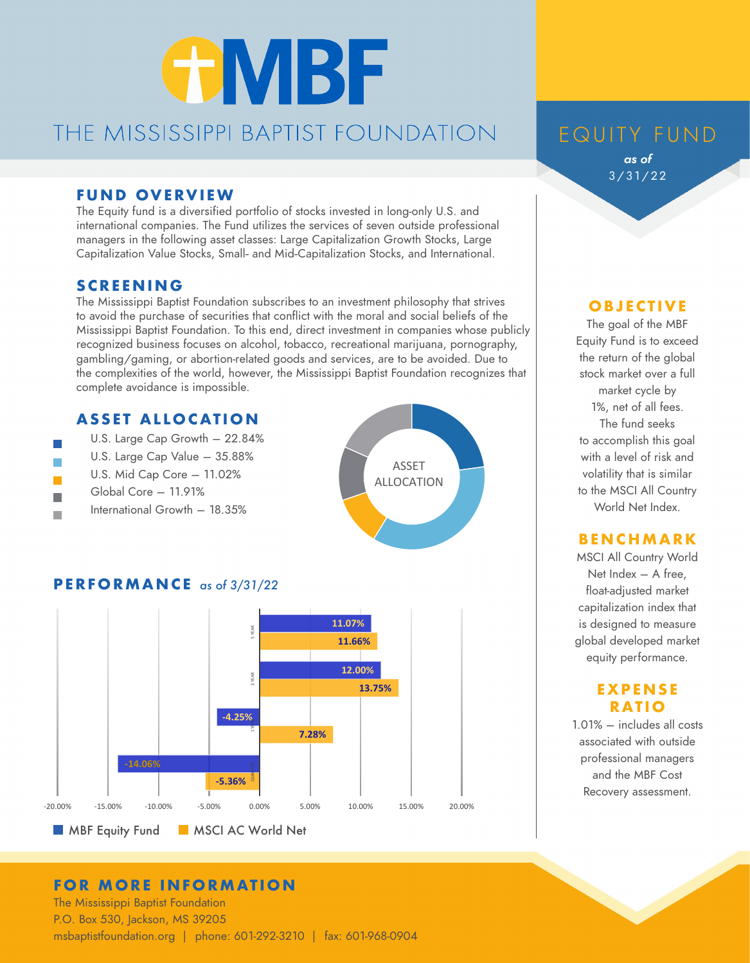# **GMBF** THE MISSISSIPPI BAPTIST FOUNDATION

#### **FUND OVERVIEW**

The Equity fund is a diversified portfolio of stocks invested in long-only U.S. and international companies. The Fund utilizes the services of seven outside professional managers in the following asset classes: Large Capitalization Growth Stocks, Large Capitalization Value Stocks, Small- and Mid-Capitalization Stocks, and International.

#### **SCREENING**

 $\overline{\phantom{a}}$ m. m. The Mississippi Baptist Foundation subscribes to an investment philosophy that strives to avoid the purchase of securities that conflict with the moral and social beliefs of the Mississippi Baptist Foundation. To this end, direct investment in companies whose publicly recognized business focuses on alcohol, tobacco, recreational marijuana, pornography, gambling/gaming, or abortion-related goods and services, are to be avoided. Due to the complexities of the world, however, the Mississippi Baptist Foundation recognizes that complete avoidance is impossible.

#### **ASSET ALLOCATION**

 U.S. Large Cap Growth – 22.84% U.S. Large Cap Value – 35.88% U.S. Mid Cap Core – 11.02% Global Core – 11.91% International Growth – 18.35%



#### **PERFORMANCE** *as of 3/31/22*



#### **FOR MORE INFORMATION**

The Mississippi Baptist Foundation P.O. Box 530, Jackson, MS 39205 msbaptistfoundation.org | phone: 601-292-3210 | fax: 601-968-0904

# EQUITY FUND

*as of*  3/31/22

#### **O B J E C T I V E**

The goal of the MBF Equity Fund is to exceed the return of the global stock market over a full market cycle by 1%, net of all fees. The fund seeks to accomplish this goal with a level of risk and volatility that is similar to the MSCI All Country World Net Index.

#### **BENCHMARK**

MSCI All Country World Net Index – A free, float-adjusted market capitalization index that is designed to measure global developed market equity performance.

#### **E X P EN S E RATIO**

1.01% – includes all costs associated with outside professional managers and the MBF Cost Recovery assessment.